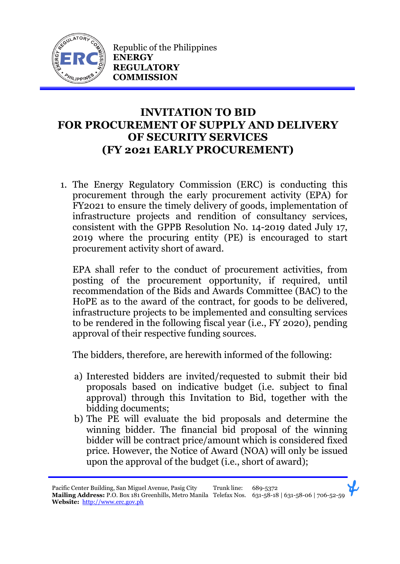

Republic of the Philippines **ENERGY REGULATORY COMMISSION**

## **INVITATION TO BID FOR PROCUREMENT OF SUPPLY AND DELIVERY OF SECURITY SERVICES (FY 2021 EARLY PROCUREMENT)**

1. The Energy Regulatory Commission (ERC) is conducting this procurement through the early procurement activity (EPA) for FY2021 to ensure the timely delivery of goods, implementation of infrastructure projects and rendition of consultancy services, consistent with the GPPB Resolution No. 14-2019 dated July 17, 2019 where the procuring entity (PE) is encouraged to start procurement activity short of award.

EPA shall refer to the conduct of procurement activities, from posting of the procurement opportunity, if required, until recommendation of the Bids and Awards Committee (BAC) to the HoPE as to the award of the contract, for goods to be delivered, infrastructure projects to be implemented and consulting services to be rendered in the following fiscal year (i.e., FY 2020), pending approval of their respective funding sources.

The bidders, therefore, are herewith informed of the following:

- a) Interested bidders are invited/requested to submit their bid proposals based on indicative budget (i.e. subject to final approval) through this Invitation to Bid, together with the bidding documents;
- b) The PE will evaluate the bid proposals and determine the winning bidder. The financial bid proposal of the winning bidder will be contract price/amount which is considered fixed price. However, the Notice of Award (NOA) will only be issued upon the approval of the budget (i.e., short of award);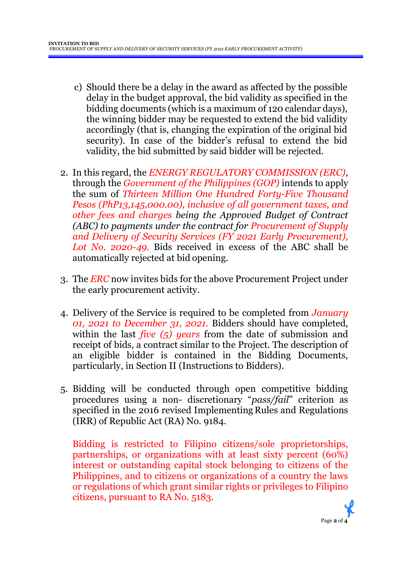- c) Should there be a delay in the award as affected by the possible delay in the budget approval, the bid validity as specified in the bidding documents (which is a maximum of 120 calendar days), the winning bidder may be requested to extend the bid validity accordingly (that is, changing the expiration of the original bid security). In case of the bidder's refusal to extend the bid validity, the bid submitted by said bidder will be rejected.
- 2. In this regard, the *ENERGY REGULATORY COMMISSION (ERC)*, through the *Government of the Philippines (GOP)* intends to apply the sum of *Thirteen Million One Hundred Forty-Five Thousand Pesos (PhP13,145,000.00), inclusive of all government taxes, and other fees and charges being the Approved Budget of Contract (ABC) to payments under the contract for Procurement of Supply and Delivery of Security Services (FY 2021 Early Procurement), Lot No. 2020-49.* Bids received in excess of the ABC shall be automatically rejected at bid opening.
- 3. The *ERC* now invites bids for the above Procurement Project under the early procurement activity.
- 4. Delivery of the Service is required to be completed from *January 01, 2021 to December 31, 2021.* Bidders should have completed, within the last *five (5) years* from the date of submission and receipt of bids, a contract similar to the Project. The description of an eligible bidder is contained in the Bidding Documents, particularly, in Section II (Instructions to Bidders).
- 5. Bidding will be conducted through open competitive bidding procedures using a non- discretionary "*pass/fail*" criterion as specified in the 2016 revised Implementing Rules and Regulations (IRR) of Republic Act (RA) No. 9184.

Bidding is restricted to Filipino citizens/sole proprietorships, partnerships, or organizations with at least sixty percent (60%) interest or outstanding capital stock belonging to citizens of the Philippines, and to citizens or organizations of a country the laws or regulations of which grant similar rights or privileges to Filipino citizens, pursuant to RA No. 5183.

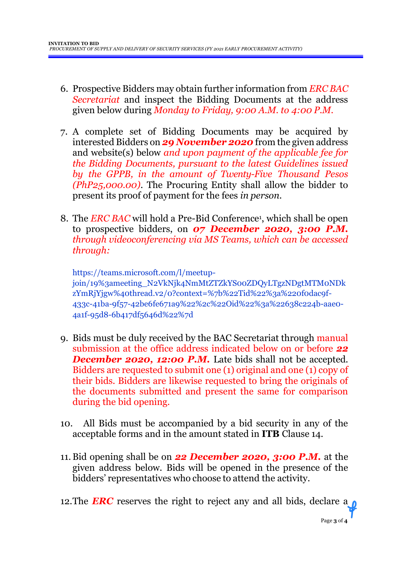- 6. Prospective Bidders may obtain further information from *ERC BAC Secretariat* and inspect the Bidding Documents at the address given below during *Monday to Friday, 9:00 A.M. to 4:00 P.M*.
- 7. A complete set of Bidding Documents may be acquired by interested Bidders on *29 November 2020* from the given address and website(s) below *and upon payment of the applicable fee for the Bidding Documents, pursuant to the latest Guidelines issued by the GPPB, in the amount of Twenty-Five Thousand Pesos (PhP25,000.00)*. The Procuring Entity shall allow the bidder to present its proof of payment for the fees *in person.*
- 8. The *ERC BAC* will hold a Pre-Bid Conference<sup>1</sup> , which shall be open to prospective bidders, on *07 December 2020, 3:00 P.M. through videoconferencing via MS Teams, which can be accessed through:*

https://teams.microsoft.com/l/meetupjoin/19%3ameeting\_N2VkNjk4NmMtZTZkYS00ZDQyLTgzNDgtMTM0NDk zYmRjYjgw%40thread.v2/0?context=%7b%22Tid%22%3a%220f0dac9f-433c-41ba-9f57-42be6fe671a9%22%2c%22Oid%22%3a%22638c224b-aae0- 4a1f-95d8-6b417df5646d%22%7d

- 9. Bids must be duly received by the BAC Secretariat through manual submission at the office address indicated below on or before *22* **December 2020, 12:00 P.M.** Late bids shall not be accepted. Bidders are requested to submit one (1) original and one (1) copy of their bids. Bidders are likewise requested to bring the originals of the documents submitted and present the same for comparison during the bid opening.
- 10. All Bids must be accompanied by a bid security in any of the acceptable forms and in the amount stated in **ITB** Clause 14.
- 11.Bid opening shall be on *22 December 2020, 3:00 P.M.* at the given address below. Bids will be opened in the presence of the bidders' representatives who choose to attend the activity.

12. The **ERC** reserves the right to reject any and all bids, declare a